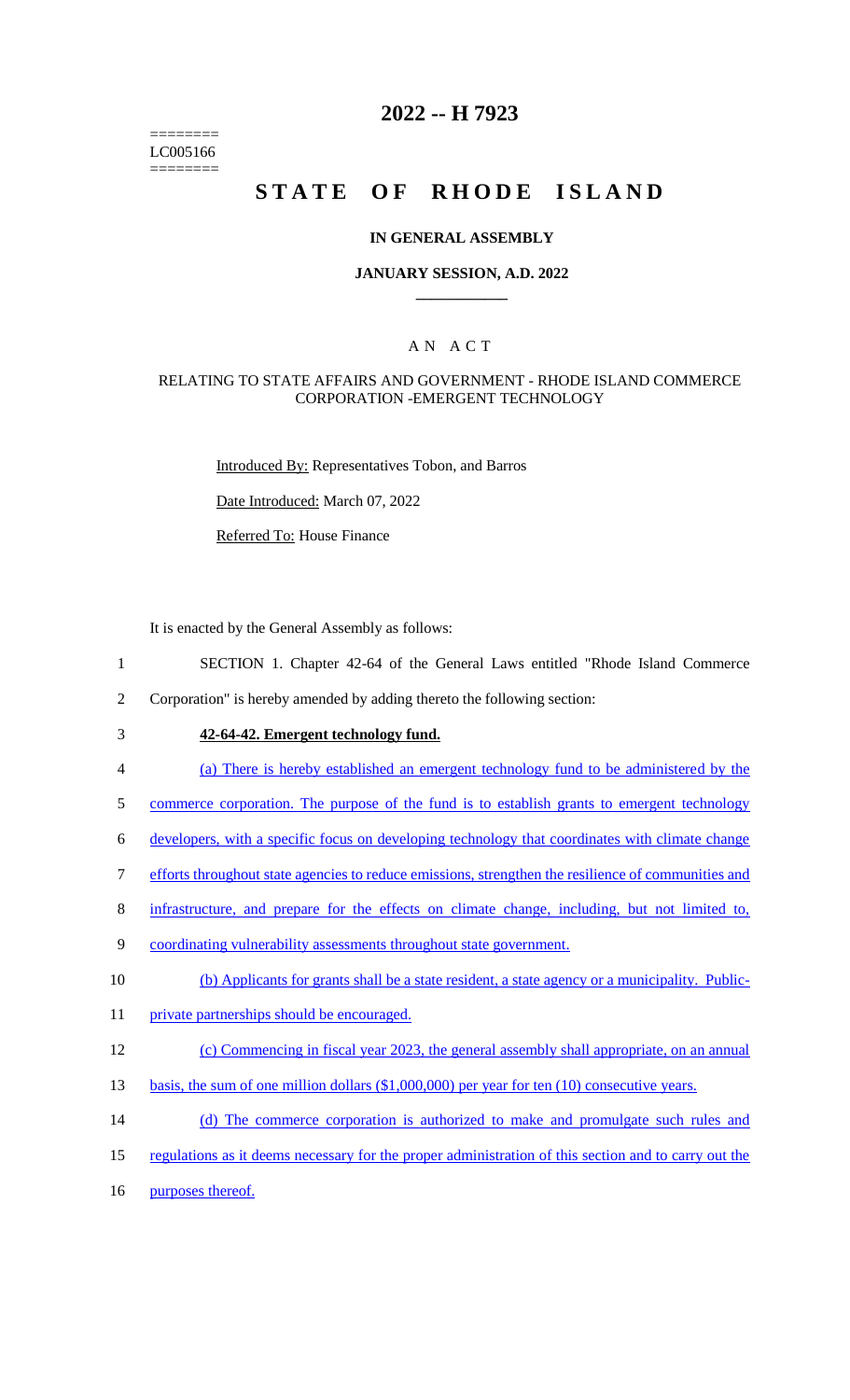======== LC005166 ========

# **2022 -- H 7923**

# STATE OF RHODE ISLAND

### **IN GENERAL ASSEMBLY**

### **JANUARY SESSION, A.D. 2022 \_\_\_\_\_\_\_\_\_\_\_\_**

### A N A C T

### RELATING TO STATE AFFAIRS AND GOVERNMENT - RHODE ISLAND COMMERCE CORPORATION -EMERGENT TECHNOLOGY

Introduced By: Representatives Tobon, and Barros

Date Introduced: March 07, 2022

Referred To: House Finance

It is enacted by the General Assembly as follows:

- 1 SECTION 1. Chapter 42-64 of the General Laws entitled "Rhode Island Commerce
- 2 Corporation" is hereby amended by adding thereto the following section:
- 

# 3 **42-64-42. Emergent technology fund.**

- 4 (a) There is hereby established an emergent technology fund to be administered by the
- 5 commerce corporation. The purpose of the fund is to establish grants to emergent technology
- 6 developers, with a specific focus on developing technology that coordinates with climate change
- 7 efforts throughout state agencies to reduce emissions, strengthen the resilience of communities and
- 8 infrastructure, and prepare for the effects on climate change, including, but not limited to,
- 9 coordinating vulnerability assessments throughout state government.
- 10 (b) Applicants for grants shall be a state resident, a state agency or a municipality. Public-
- 11 private partnerships should be encouraged.

#### 12 (c) Commencing in fiscal year 2023, the general assembly shall appropriate, on an annual

- 13 basis, the sum of one million dollars (\$1,000,000) per year for ten (10) consecutive years.
- 14 (d) The commerce corporation is authorized to make and promulgate such rules and
- 15 regulations as it deems necessary for the proper administration of this section and to carry out the
- 16 purposes thereof.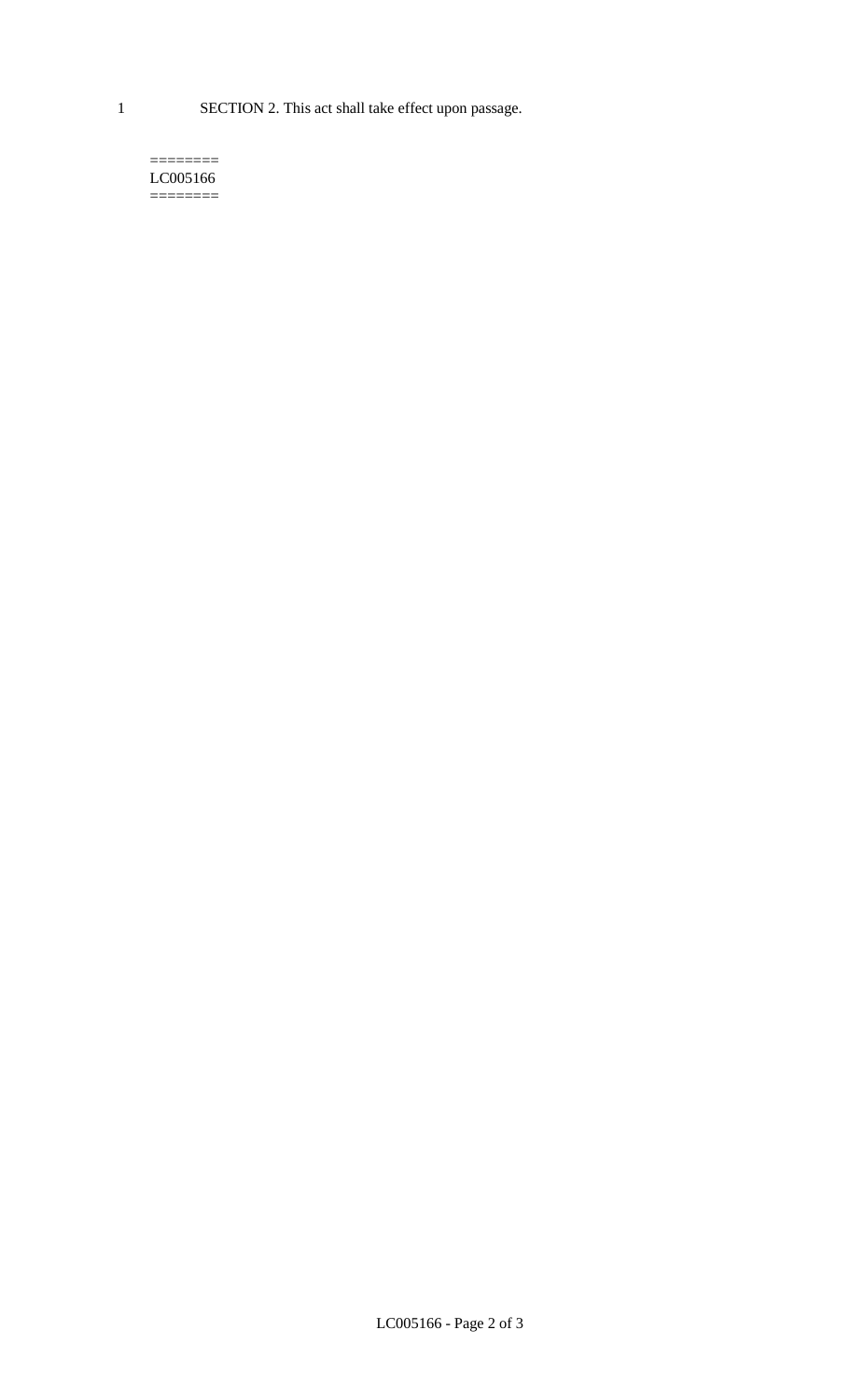1 SECTION 2. This act shall take effect upon passage.

#### $=$ LC005166 ========